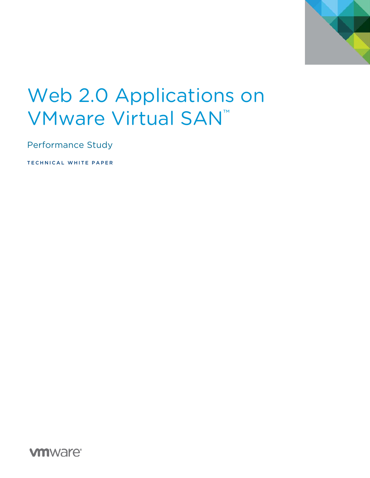

# Web 2.0 Applications on VMware Virtual SAN™

Performance Study

TECHNICAL WHITE PAPER

**vm**ware<sup>®</sup>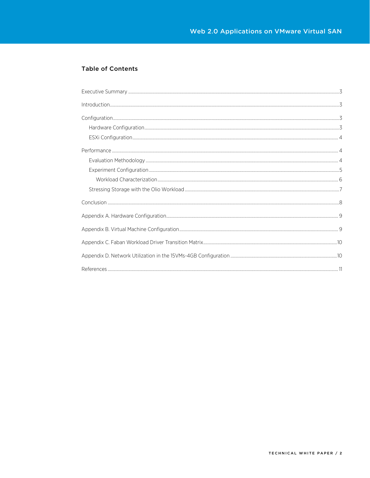#### **Table of Contents**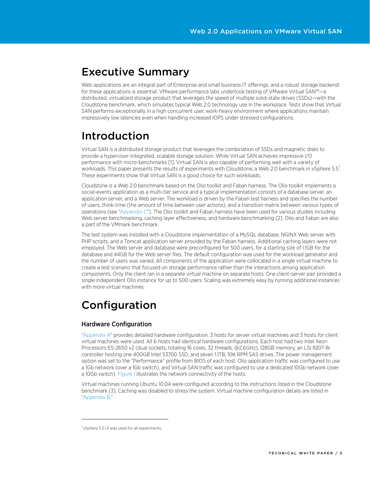## <span id="page-2-0"></span>Executive Summary

Web applications are an integral part of Enterprise and small business IT offerings, and a robust storage backend for these applications is essential. VMware performance labs undertook testing of VMware Virtual SAN™—a distributed, virtualized storage product that leverages the speed of multiple solid-state drives (SSDs)—with the Cloudstone benchmark, which simulates typical Web 2.0 technology use in the workplace. Tests show that Virtual SAN performs exceptionally in a high concurrent user, work-heavy environment where applications maintain impressively low latencies even when handling increased IOPS under stressed configurations.

# <span id="page-2-1"></span>Introduction

Virtual SAN is a distributed storage product that leverages the combination of SSDs and magnetic disks to provide a hypervisor-integrated, scalable storage solution. While Virtual SAN achieves impressive I/O performance with micro-benchmarks [1], Virtual SAN is also capable of performing well with a variety of workloads. This paper presents the results of experiments with Cloudstone, a Web 2.0 benchmark in vSphere 5.5 $^{\rm 1}$  $^{\rm 1}$  $^{\rm 1}$ . These experiments show that Virtual SAN is a good choice for such workloads.

Cloudstone is a Web 2.0 benchmark based on the Olio toolkit and Faban harness. The Olio toolkit implements a social-events application as a multi-tier service and a typical implementation consists of a database server, an application server, and a Web server. The workload is driven by the Faban test harness and specifies the number of users, think-time (the amount of time between user actions), and a transition matrix between various types of operations (see ["Appendix C"](#page-8-2)). The Olio toolkit and Faban harness have been used for various studies including Web server benchmarking, caching layer effectiveness, and hardware benchmarking [2]. Olio and Faban are also a part of the VMmark benchmark.

The test system was installed with a Cloudstone implementation of a MySQL database, NGINX Web server with PHP scripts, and a Tomcat application server provided by the Faban harness. Additional caching layers were not employed. The Web server and database were preconfigured for 500 users, for a starting size of 1.1GB for the database and 44GB for the Web server files. The default configuration was used for the workload generator and the number of users was varied. All components of the application were collocated in a single virtual machine to create a test scenario that focused on storage performance rather than the interactions among application components. Only the client ran in a separate virtual machine on separate hosts. One client-server pair provided a single independent Olio instance for up to 500 users. Scaling was extremely easy by running additional instances with more virtual machines.

# <span id="page-2-2"></span>Configuration

#### <span id="page-2-3"></span>Hardware Configuration

["Appendix A"](#page-7-1) provides detailed hardware configuration. 3 hosts for server virtual machines and 3 hosts for client virtual machines were used. All 6 hosts had identical hardware configurations. Each host had two Intel Xeon Processors E5-2650 v2 (dual sockets, totaling 16 cores, 32 threads, @2.6GHz), 128GB memory, an LSI 9207-8i controller hosting one 400GB Intel S3700 SSD, and seven 1.1TB, 10K RPM SAS drives. The power management option was set to the "Performance" profile from BIOS of each host. Olio application traffic was configured to use a 1Gb network (over a 1Gb switch), and Virtual SAN traffic was configured to use a dedicated 10Gb network (over a 10Gb switch)[. Figure 1](#page-3-3) illustrates the network connectivity of the hosts.

Virtual machines running Ubuntu 10.04 were configured according to the instructions listed in the Cloudstone benchmark [3]. Caching was disabled to stress the system. Virtual machine configuration details are listed in ["Appendix B."](#page-8-1)

 $\overline{a}$ 

<span id="page-2-4"></span><sup>&</sup>lt;sup>1</sup> vSphere 5.5 U1 was used for all experiments.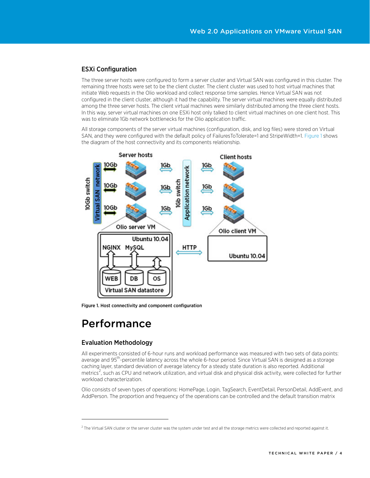#### <span id="page-3-0"></span>ESXi Configuration

The three server hosts were configured to form a server cluster and Virtual SAN was configured in this cluster. The remaining three hosts were set to be the client cluster. The client cluster was used to host virtual machines that initiate Web requests in the Olio workload and collect response time samples. Hence Virtual SAN was not configured in the client cluster, although it had the capability. The server virtual machines were equally distributed among the three server hosts. The client virtual machines were similarly distributed among the three client hosts. In this way, server virtual machines on one ESXi host only talked to client virtual machines on one client host. This was to eliminate 1Gb network bottlenecks for the Olio application traffic.

All storage components of the server virtual machines (configuration, disk, and log files) were stored on Virtual SAN, and they were configured with the default policy of FailuresToTolerate=1 and StripeWidth=1. [Figure 1](#page-3-4) shows the diagram of the host connectivity and its components relationship.

<span id="page-3-4"></span>

<span id="page-3-3"></span>Figure 1. Host connectivity and component configuration

### <span id="page-3-1"></span>Performance

#### <span id="page-3-2"></span>Evaluation Methodology

 $\overline{a}$ 

All experiments consisted of 6-hour runs and workload performance was measured with two sets of data points: average and 95<sup>th</sup>-percentile latency across the whole 6-hour period. Since Virtual SAN is designed as a storage caching layer, standard deviation of average latency for a steady state duration is also reported. Additional  $m$ etrics<sup>[2](#page-3-5)</sup>, such as CPU and network utilization, and virtual disk and physical disk activity, were collected for further workload characterization.

Olio consists of seven types of operations: HomePage, Login, TagSearch, EventDetail, PersonDetail, AddEvent, and AddPerson. The proportion and frequency of the operations can be controlled and the default transition matrix

<span id="page-3-5"></span> $2$  The Virtual SAN cluster or the server cluster was the system under test and all the storage metrics were collected and reported against it.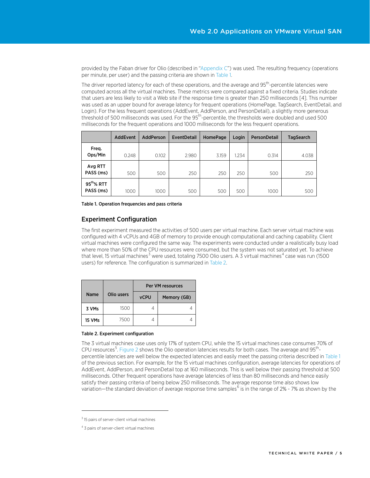provided by the Faban driver for Olio (described in ["Appendix C"](#page-8-2)) was used. The resulting frequency (operations per minute, per user) and the passing criteria are shown in [Table 1.](#page-4-1) 

The driver reported latency for each of these operations, and the average and 95<sup>th</sup>-percentile latencies were computed across all the virtual machines. These metrics were compared against a fixed criteria. Studies indicate that users are less likely to visit a Web site if the response time is greater than 250 milliseconds [4]. This number was used as an upper bound for average latency for frequent operations (HomePage, TagSearch, EventDetail, and Login). For the less frequent operations (AddEvent, AddPerson, and PersonDetail), a slightly more generous threshold of 500 milliseconds was used. For the 95<sup>th</sup>-percentile, the thresholds were doubled and used 500 milliseconds for the frequent operations and 1000 milliseconds for the less frequent operations.

|                                     | <b>AddEvent</b> | <b>AddPerson</b> | <b>EventDetail</b> | <b>HomePage</b> | Login | <b>PersonDetail</b> | <b>TagSearch</b> |
|-------------------------------------|-----------------|------------------|--------------------|-----------------|-------|---------------------|------------------|
| Freq.<br>Ops/Min                    | 0.248           | 0.102            | 2.980              | 3.159           | 1.234 | 0.314               | 4.038            |
| Avg RTT<br>PASS (ms)                | 500             | 500              | 250                | 250             | 250   | 500                 | 250              |
| $95^{\text{th}}\%$ RTT<br>PASS (ms) | 1000            | 1000             | 500                | 500             | 500   | 1000                | 500              |

<span id="page-4-1"></span>Table 1. Operation frequencies and pass criteria

#### <span id="page-4-0"></span>Experiment Configuration

The first experiment measured the activities of 500 users per virtual machine. Each server virtual machine was configured with 4 vCPUs and 4GB of memory to provide enough computational and caching capability. Client virtual machines were configured the same way. The experiments were conducted under a realistically busy load where more than 50% of the CPU resources were consumed, but the system was not saturated yet. To achieve that level, 15 virtual machines<sup>[3](#page-4-3)</sup> were used, totaling 7500 Olio users. A 3 virtual machines<sup>[4](#page-4-4)</sup> case was run (1500 users) for reference. The configuration is summarized i[n Table 2.](#page-4-2)

|             |            | Per VM resources |             |  |  |  |
|-------------|------------|------------------|-------------|--|--|--|
| <b>Name</b> | Olio users | <b>vCPU</b>      | Memory (GB) |  |  |  |
| 3 VMs       | 1500       |                  |             |  |  |  |
| 15 VMs      | 7500       |                  |             |  |  |  |

#### <span id="page-4-2"></span>Table 2. Experiment configuration

The 3 virtual machines case uses only 17% of system CPU, while the 15 virtual machines case consumes 70% of CPU resources<sup>[5](#page-4-5)</sup>[. Figure 2](#page-5-1) shows the Olio operation latencies results for both cases. The average and 95<sup>th</sup>percentile latencies are well below the expected latencies and easily meet the passing criteria described i[n Table 1](#page-4-1) of the previous section. For example, for the 15 virtual machines configuration, average latencies for operations of AddEvent, AddPerson, and PersonDetail top at 160 milliseconds. This is well below their passing threshold at 500 milliseconds. Other frequent operations have average latencies of less than 80 milliseconds and hence easily satisfy their passing criteria of being below 250 milliseconds. The average response time also shows low variation—the standard deviation of average response time samples<sup>[6](#page-4-6)</sup> is in the range of 2% - 7% as shown by the

<span id="page-4-5"></span> $\overline{a}$ 

<span id="page-4-6"></span><span id="page-4-3"></span> $3$  15 pairs of server-client virtual machines

<span id="page-4-4"></span><sup>&</sup>lt;sup>4</sup> 3 pairs of server-client virtual machines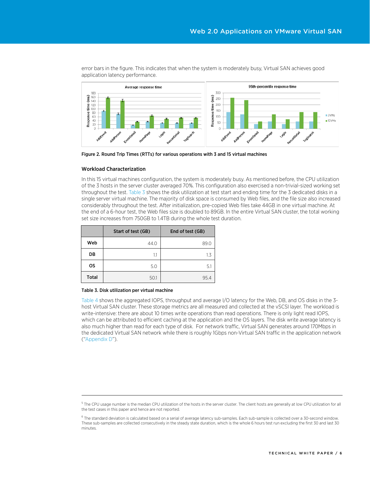

error bars in the figure. This indicates that when the system is moderately busy, Virtual SAN achieves good application latency performance.

<span id="page-5-1"></span>Figure 2. Round Trip Times (RTTs) for various operations with 3 and 15 virtual machines

#### <span id="page-5-0"></span>Workload Characterization

In this 15 virtual machines configuration, the system is moderately busy. As mentioned before, the CPU utilization of the 3 hosts in the server cluster averaged 70%. This configuration also exercised a non-trivial-sized working set throughout the test[. Table 3](#page-5-2) shows the disk utilization at test start and ending time for the 3 dedicated disks in a single server virtual machine. The majority of disk space is consumed by Web files, and the file size also increased considerably throughout the test. After initialization, pre-copied Web files take 44GB in one virtual machine. At the end of a 6-hour test, the Web files size is doubled to 89GB. In the entire Virtual SAN cluster, the total working set size increases from 750GB to 1.4TB during the whole test duration.

|              | Start of test (GB) | End of test (GB) |
|--------------|--------------------|------------------|
| Web          | 44.0               | 89.0             |
| DB           | 1.1                | 1.3              |
| <b>OS</b>    | 5.0                | 5.1              |
| <b>Total</b> | 50.1               | 95.4             |

#### <span id="page-5-2"></span>Table 3. Disk utilization per virtual machine

 $\overline{a}$ 

[Table 4](#page-6-1) shows the aggregated IOPS, throughput and average I/O latency for the Web, DB, and OS disks in the 3 host Virtual SAN cluster. These storage metrics are all measured and collected at the vSCSI layer. The workload is write-intensive: there are about 10 times write operations than read operations. There is only light read IOPS, which can be attributed to efficient caching at the application and the OS layers. The disk write average latency is also much higher than read for each type of disk. For network traffic, Virtual SAN generates around 170Mbps in the dedicated Virtual SAN network while there is roughly 1Gbps non-Virtual SAN traffic in the application network (["Appendix D"](#page-9-1)).

<sup>&</sup>lt;sup>5</sup> The CPU usage number is the median CPU utilization of the hosts in the server cluster. The client hosts are generally at low CPU utilization for all the test cases in this paper and hence are not reported.

 $6$  The standard deviation is calculated based on a serial of average latency sub-samples. Each sub-sample is collected over a 30-second window. These sub-samples are collected consecutively in the steady state duration, which is the whole 6 hours test run excluding the first 30 and last 30 minutes.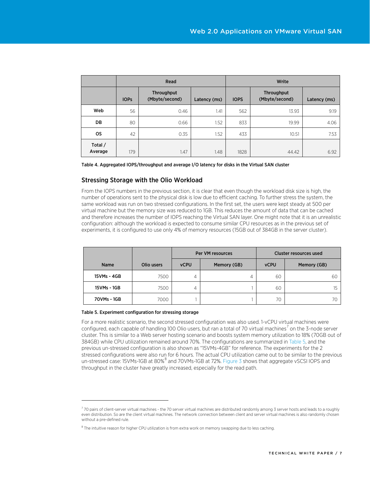|                    |             | Read                         |              | Write       |                              |              |  |
|--------------------|-------------|------------------------------|--------------|-------------|------------------------------|--------------|--|
|                    | <b>IOPs</b> | Throughput<br>(Mbyte/second) | Latency (ms) | <b>IOPS</b> | Throughput<br>(Mbyte/second) | Latency (ms) |  |
| Web                | 56          | 0.46                         | 1.41         | 562         | 13.93                        | 9.19         |  |
| DB                 | 80          | 0.66                         | 1.52         | 833         | 19.99                        | 4.06         |  |
| <b>OS</b>          | 42          | 0.35                         | 1.52         | 433         | 10.51                        | 7.53         |  |
| Total /<br>Average | 179         | 1.47                         | 1.48         | 1828        | 44.42                        | 6.92         |  |

<span id="page-6-1"></span>

| Table 4. Aggregated IOPS/throughput and average I/O latency for disks in the Virtual SAN cluster |  |
|--------------------------------------------------------------------------------------------------|--|
|--------------------------------------------------------------------------------------------------|--|

#### <span id="page-6-0"></span>Stressing Storage with the Olio Workload

From the IOPS numbers in the previous section, it is clear that even though the workload disk size is high, the number of operations sent to the physical disk is low due to efficient caching. To further stress the system, the same workload was run on two stressed configurations. In the first set, the users were kept steady at 500 per virtual machine but the memory size was reduced to 1GB. This reduces the amount of data that can be cached and therefore increases the number of IOPS reaching the Virtual SAN layer. One might note that it is an unrealistic configuration: although the workload is expected to consume similar CPU resources as in the previous set of experiments, it is configured to use only 4% of memory resources (15GB out of 384GB in the server cluster).

|             |            |             | Per VM resources | Cluster resources used |             |  |
|-------------|------------|-------------|------------------|------------------------|-------------|--|
| <b>Name</b> | Olio users | <b>vCPU</b> | Memory (GB)      | <b>vCPU</b>            | Memory (GB) |  |
| 15VMs - 4GB | 7500       | 4           | 4                | 60                     | 60          |  |
| 15VMs - 1GB | 7500       | 4           |                  | 60                     | 15          |  |
| 70VMs - 1GB | 7000       |             |                  | 70                     | 70          |  |

#### <span id="page-6-2"></span>Table 5. Experiment configuration for stressing storage

 $\overline{a}$ 

For a more realistic scenario, the second stressed configuration was also used. 1-vCPU virtual machines were configured, each capable of handling 100 Olio users, but ran a total of [7](#page-6-3)0 virtual machines<sup>7</sup> on the 3-node server cluster. This is similar to a Web server hosting scenario and boosts system memory utilization to 18% (70GB out of 384GB) while CPU utilization remained around 70%. The configurations are summarized in [Table 5,](#page-6-2) and the previous un-stressed configuration is also shown as "15VMs-4GB" for reference. The experiments for the 2 stressed configurations were also run for 6 hours. The actual CPU utilization came out to be similar to the previous un-stressed case: 15VMs-1GB at [8](#page-6-4)0%<sup>8</sup> and 70VMs-1GB at 72%. [Figure 3](#page-7-2) shows that aggregate vSCSI IOPS and throughput in the cluster have greatly increased, especially for the read path.

<span id="page-6-3"></span> $7$  70 pairs of client-server virtual machines - the 70 server virtual machines are distributed randomly among 3 server hosts and leads to a roughly even distribution. So are the client virtual machines. The network connection between client and server virtual machines is also randomly chosen without a pre-defined rule.

<span id="page-6-4"></span><sup>&</sup>lt;sup>8</sup> The intuitive reason for higher CPU utilization is from extra work on memory swapping due to less caching.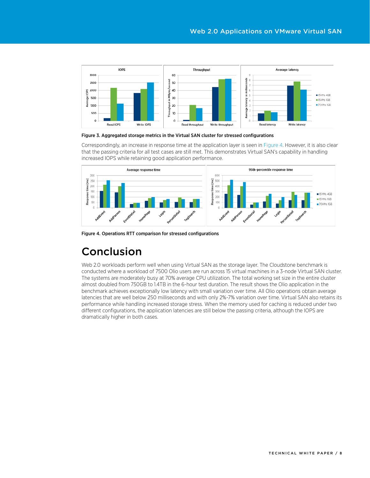

#### <span id="page-7-2"></span>Figure 3. Aggregated storage metrics in the Virtual SAN cluster for stressed configurations

Correspondingly, an increase in response time at the application layer is seen in [Figure 4.](#page-7-3) However, it is also clear that the passing criteria for all test cases are still met. This demonstrates Virtual SAN's capability in handling increased IOPS while retaining good application performance.



<span id="page-7-3"></span>Figure 4. Operations RTT comparison for stressed configurations

# <span id="page-7-0"></span>Conclusion

<span id="page-7-1"></span>Web 2.0 workloads perform well when using Virtual SAN as the storage layer. The Cloudstone benchmark is conducted where a workload of 7500 Olio users are run across 15 virtual machines in a 3-node Virtual SAN cluster. The systems are moderately busy at 70% average CPU utilization. The total working set size in the entire cluster almost doubled from 750GB to 1.4TB in the 6-hour test duration. The result shows the Olio application in the benchmark achieves exceptionally low latency with small variation over time. All Olio operations obtain average latencies that are well below 250 milliseconds and with only 2%-7% variation over time. Virtual SAN also retains its performance while handling increased storage stress. When the memory used for caching is reduced under two different configurations, the application latencies are still below the passing criteria, although the IOPS are dramatically higher in both cases.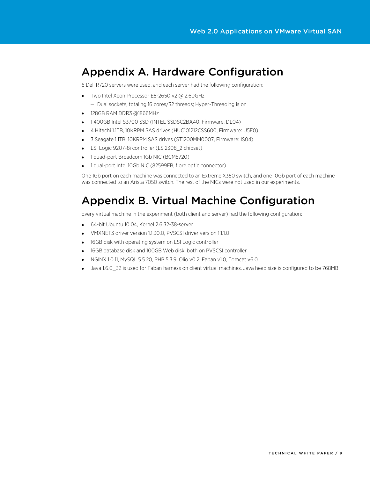### <span id="page-8-0"></span>Appendix A. Hardware Configuration

6 Dell R720 servers were used, and each server had the following configuration:

- Two Intel Xeon Processor E5-2650 v2 @ 2.60GHz
	- Dual sockets, totaling 16 cores/32 threads; Hyper-Threading is on
- 128GB RAM DDR3 @1866MHz
- 1 400GB Intel S3700 SSD (INTEL SSDSC2BA40, Firmware: DL04)
- 4 Hitachi 1.1TB, 10KRPM SAS drives (HUC101212CSS600, Firmware: U5E0)
- 3 Seagate 1.1TB, 10KRPM SAS drives (ST1200MM0007, Firmware: IS04)
- LSI Logic 9207-8i controller (LSI2308\_2 chipset)
- 1 quad-port Broadcom 1Gb NIC (BCM5720)
- 1 dual-port Intel 10Gb NIC (82599EB, fibre optic connector)

One 1Gb port on each machine was connected to an Extreme X350 switch, and one 10Gb port of each machine was connected to an Arista 7050 switch. The rest of the NICs were not used in our experiments.

# <span id="page-8-1"></span>Appendix B. Virtual Machine Configuration

Every virtual machine in the experiment (both client and server) had the following configuration:

- 64-bit Ubuntu 10.04, Kernel 2.6.32-38-server
- VMXNET3 driver version 1.1.30.0, PVSCSI driver version 1.1.1.0
- 16GB disk with operating system on LSI Logic controller
- 16GB database disk and 100GB Web disk, both on PVSCSI controller
- NGINX 1.0.11, MySQL 5.5.20, PHP 5.3.9, Olio v0.2, Faban v1.0, Tomcat v6.0
- <span id="page-8-2"></span>• Java 1.6.0\_32 is used for Faban harness on client virtual machines. Java heap size is configured to be 768MB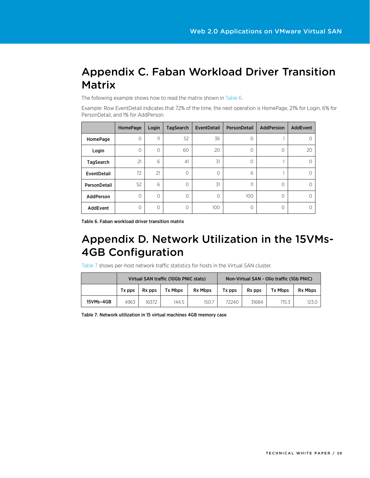# <span id="page-9-0"></span>Appendix C. Faban Workload Driver Transition **Matrix**

The following example shows how to read the matrix shown in [Table 6.](#page-9-2) 

Example: Row EventDetail indicates that 72% of the time, the next operation is HomePage, 21% for Login, 6% for PersonDetail, and 1% for AddPerson.

|                  | <b>HomePage</b> | Login   | <b>TagSearch</b> | EventDetail | PersonDetail | <b>AddPersion</b> | AddEvent |
|------------------|-----------------|---------|------------------|-------------|--------------|-------------------|----------|
| HomePage         | 0               | 11      | 52               | 36          | 0            |                   | $\circ$  |
| Login            | 0               | 0       | 60               | 20          | 0            | 0                 | 20       |
| <b>TagSearch</b> | 21              | 6       | 41               | 31          | 0            |                   | $\circ$  |
| EventDetail      | 72              | 21      | $\Omega$         | $\Omega$    | 6            |                   | $\Omega$ |
| PersonDetail     | 52              | 6       | $\circ$          | 31          | 11           | 0                 | $\circ$  |
| AddPerson        | $\Omega$        | $\circ$ | $\Omega$         | $\Omega$    | 100          | $\Omega$          | $\Omega$ |
| AddEvent         | 0               | 0       | $\Omega$         | 100         | 0            | 0                 | $\circ$  |

<span id="page-9-2"></span>Table 6. Faban workload driver transition matrix

# <span id="page-9-1"></span>Appendix D. Network Utilization in the 15VMs-4GB Configuration

[Table 7](#page-9-3) shows per-host network traffic statistics for hosts in the Virtual SAN cluster.

|           | Virtual SAN traffic (10Gb PNIC stats) |        |                |                | Non-Virtual SAN - Olio traffic (1Gb PNIC) |                    |                |                |
|-----------|---------------------------------------|--------|----------------|----------------|-------------------------------------------|--------------------|----------------|----------------|
|           | Tx pps                                | Rx pps | <b>Tx Mbps</b> | <b>Rx Mbps</b> | Tx pps                                    | R <sub>x</sub> pps | <b>Tx Mbps</b> | <b>Rx Mbps</b> |
| 15VMs-4GB | 4963                                  | 16372  | 144.5          | 150.7          | 72240                                     | 31684              | 715.3          | 123.0          |

<span id="page-9-3"></span>Table 7. Network utilization in 15 virtual machines 4GB memory case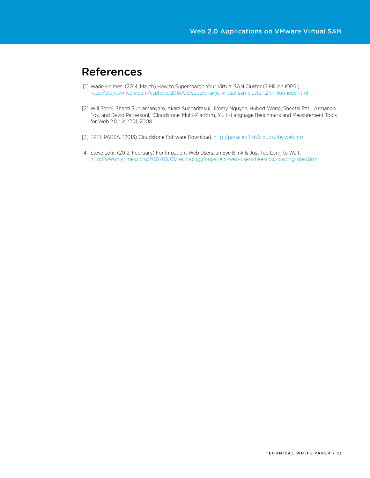## <span id="page-10-0"></span>References

- [1] Wade Holmes. (2014, March) How to Supercharge Your Virtual SAN Cluster (2 Million IOPS!). <http://blogs.vmware.com/vsphere/2014/03/supercharge-virtual-san-cluster-2-million-iops.html>
- [2] Will Sobel, Shanti Subramanyam, Akara Sucharitakul, Jimmy Nguyen, Hubert Wong, Sheetal Patil, Armando Fox, and David Pattersonl, "Cloudstone: Multi-Platform, Multi-Language Benchmark and Measurement Tools for Web 2.0," in CCA, 2008.
- [3] EPFL PARSA. (2013) Cloudstone Software Download[. http://parsa.epfl.ch/cloudsuite/web.html](http://parsa.epfl.ch/cloudsuite/web.html)
- [4] Steve Lohr. (2012, February) For Impatient Web Users, an Eye Blink Is Just Too Long to Wait. <http://www.nytimes.com/2012/03/01/technology/impatient-web-users-flee-slow-loading-sites.html>